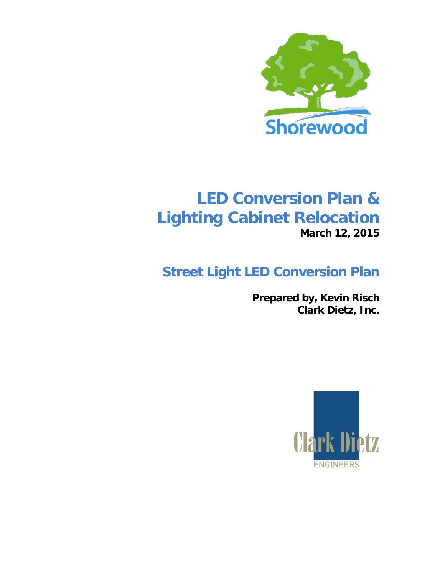

# **LED Conversion Plan & Lighting Cabinet Relocation March 12, 2015**

# **Street Light LED Conversion Plan**

**Prepared by, Kevin Risch Clark Dietz, Inc.**

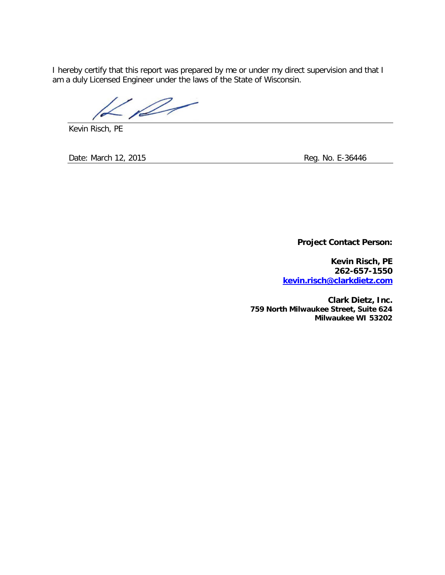I hereby certify that this report was prepared by me or under my direct supervision and that I am a duly Licensed Engineer under the laws of the State of Wisconsin.

 $\mathscr{P}$ 

Kevin Risch, PE

Date: March 12, 2015 **Reg. No. E-36446** Reg. No. E-36446

**Project Contact Person:**

**Kevin Risch, PE 262-657-1550 [kevin.risch@clarkdietz.com](mailto:kevin.risch@clarkdietz.com)**

**Clark Dietz, Inc. 759 North Milwaukee Street, Suite 624 Milwaukee WI 53202**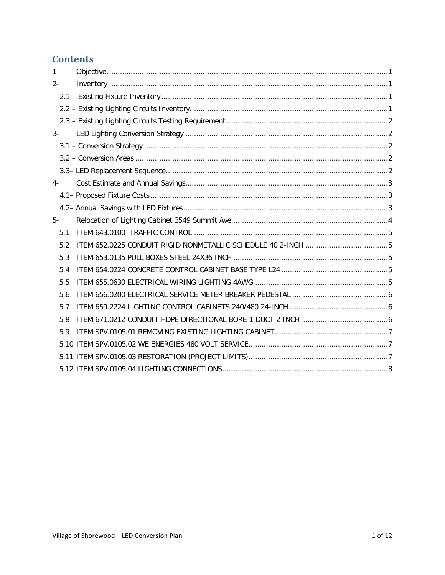# **Contents**

| $1 -$ |  |
|-------|--|
| $2 -$ |  |
|       |  |
|       |  |
|       |  |
| $3-$  |  |
|       |  |
|       |  |
|       |  |
| $4-$  |  |
|       |  |
|       |  |
| $5-$  |  |
| 5.1   |  |
| 5.2   |  |
| 5.3   |  |
| 5.4   |  |
| 5.5   |  |
| 5.6   |  |
| 5.7   |  |
| 5.8   |  |
| 5.9   |  |
|       |  |
|       |  |
|       |  |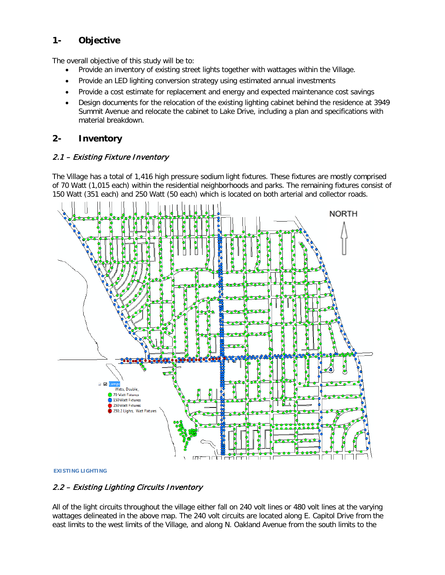# <span id="page-3-0"></span>**1- Objective**

The overall objective of this study will be to:

- Provide an inventory of existing street lights together with wattages within the Village.
- Provide an LED lighting conversion strategy using estimated annual investments
- Provide a cost estimate for replacement and energy and expected maintenance cost savings
- Design documents for the relocation of the existing lighting cabinet behind the residence at 3949 Summit Avenue and relocate the cabinet to Lake Drive, including a plan and specifications with material breakdown.

#### <span id="page-3-1"></span>**2- Inventory**

#### <span id="page-3-2"></span>2.1 – Existing Fixture Inventory

The Village has a total of 1,416 high pressure sodium light fixtures. These fixtures are mostly comprised of 70 Watt (1,015 each) within the residential neighborhoods and parks. The remaining fixtures consist of 150 Watt (351 each) and 250 Watt (50 each) which is located on both arterial and collector roads.



**EXISTING LIGHTING** 

### <span id="page-3-3"></span>2.2 – Existing Lighting Circuits Inventory

All of the light circuits throughout the village either fall on 240 volt lines or 480 volt lines at the varying wattages delineated in the above map. The 240 volt circuits are located along E. Capitol Drive from the east limits to the west limits of the Village, and along N. Oakland Avenue from the south limits to the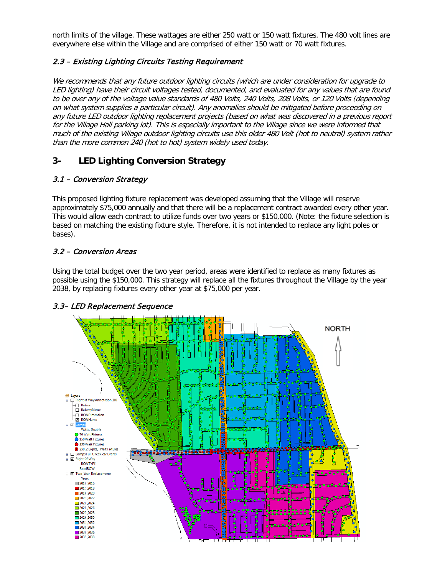north limits of the village. These wattages are either 250 watt or 150 watt fixtures. The 480 volt lines are everywhere else within the Village and are comprised of either 150 watt or 70 watt fixtures.

#### <span id="page-4-0"></span>2.3 – Existing Lighting Circuits Testing Requirement

We recommends that any future outdoor lighting circuits (which are under consideration for upgrade to LED lighting) have their circuit voltages tested, documented, and evaluated for any values that are found to be over any of the voltage value standards of 480 Volts, 240 Volts, 208 Volts, or 120 Volts (depending on what system supplies a particular circuit). Any anomalies should be mitigated before proceeding on any future LED outdoor lighting replacement projects (based on what was discovered in a previous report for the Village Hall parking lot). This is especially important to the Village since we were informed that much of the existing Village outdoor lighting circuits use this older 480 Volt (hot to neutral) system rather than the more common 240 (hot to hot) system widely used today.

# <span id="page-4-1"></span>**3- LED Lighting Conversion Strategy**

#### <span id="page-4-2"></span>3.1 – Conversion Strategy

This proposed lighting fixture replacement was developed assuming that the Village will reserve approximately \$75,000 annually and that there will be a replacement contract awarded every other year. This would allow each contract to utilize funds over two years or \$150,000. (Note: the fixture selection is based on matching the existing fixture style. Therefore, it is not intended to replace any light poles or bases).

#### <span id="page-4-3"></span>3.2 – Conversion Areas

Using the total budget over the two year period, areas were identified to replace as many fixtures as possible using the \$150,000. This strategy will replace all the fixtures throughout the Village by the year 2038, by replacing fixtures every other year at \$75,000 per year.



#### <span id="page-4-4"></span>3.3– LED Replacement Sequence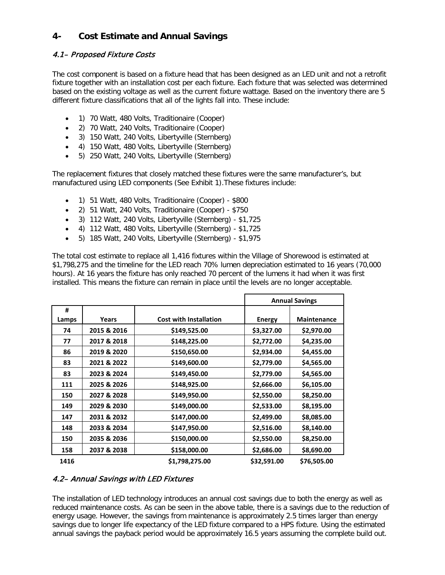# <span id="page-5-0"></span>**4- Cost Estimate and Annual Savings**

### <span id="page-5-1"></span>4.1– Proposed Fixture Costs

The cost component is based on a fixture head that has been designed as an LED unit and not a retrofit fixture together with an installation cost per each fixture. Each fixture that was selected was determined based on the existing voltage as well as the current fixture wattage. Based on the inventory there are 5 different fixture classifications that all of the lights fall into. These include:

- 1) 70 Watt, 480 Volts, Traditionaire (Cooper)
- 2) 70 Watt, 240 Volts, Traditionaire (Cooper)
- 3) 150 Watt, 240 Volts, Libertyville (Sternberg)
- 4) 150 Watt, 480 Volts, Libertyville (Sternberg)
- 5) 250 Watt, 240 Volts, Libertyville (Sternberg)

The replacement fixtures that closely matched these fixtures were the same manufacturer's, but manufactured using LED components (See Exhibit 1).These fixtures include:

- 1) 51 Watt, 480 Volts, Traditionaire (Cooper) \$800
- 2) 51 Watt, 240 Volts, Traditionaire (Cooper) \$750
- 3) 112 Watt, 240 Volts, Libertyville (Sternberg) \$1,725
- 4) 112 Watt, 480 Volts, Libertyville (Sternberg) \$1,725
- 5) 185 Watt, 240 Volts, Libertyville (Sternberg) \$1,975

The total cost estimate to replace all 1,416 fixtures within the Village of Shorewood is estimated at \$1,798,275 and the timeline for the LED reach 70% lumen depreciation estimated to 16 years (70,000 hours). At 16 years the fixture has only reached 70 percent of the lumens it had when it was first installed. This means the fixture can remain in place until the levels are no longer acceptable.

|       |             |                               | <b>Annual Savings</b> |                    |
|-------|-------------|-------------------------------|-----------------------|--------------------|
| #     |             |                               |                       |                    |
| Lamps | Years       | <b>Cost with Installation</b> | <b>Energy</b>         | <b>Maintenance</b> |
| 74    | 2015 & 2016 | \$149,525.00                  | \$3,327.00            | \$2,970.00         |
| 77    | 2017 & 2018 | \$148,225.00                  | \$2,772.00            | \$4,235.00         |
| 86    | 2019 & 2020 | \$150,650.00                  | \$2,934.00            | \$4,455.00         |
| 83    | 2021 & 2022 | \$149,600.00                  | \$2,779.00            | \$4,565.00         |
| 83    | 2023 & 2024 | \$149,450.00                  | \$2,779.00            | \$4,565.00         |
| 111   | 2025 & 2026 | \$148,925.00                  | \$2,666.00            | \$6,105.00         |
| 150   | 2027 & 2028 | \$149,950.00                  | \$2,550.00            | \$8,250.00         |
| 149   | 2029 & 2030 | \$149,000.00                  | \$2,533.00            | \$8,195.00         |
| 147   | 2031 & 2032 | \$147,000.00                  | \$2,499.00            | \$8,085.00         |
| 148   | 2033 & 2034 | \$147,950.00                  | \$2,516.00            | \$8,140.00         |
| 150   | 2035 & 2036 | \$150,000.00                  | \$2,550.00            | \$8,250.00         |
| 158   | 2037 & 2038 | \$158,000.00                  | \$2,686.00            | \$8,690.00         |
| 1416  |             | \$1,798,275.00                | \$32,591.00           | \$76,505.00        |

#### <span id="page-5-2"></span>4.2– Annual Savings with LED Fixtures

The installation of LED technology introduces an annual cost savings due to both the energy as well as reduced maintenance costs. As can be seen in the above table, there is a savings due to the reduction of energy usage. However, the savings from maintenance is approximately 2.5 times larger than energy savings due to longer life expectancy of the LED fixture compared to a HPS fixture. Using the estimated annual savings the payback period would be approximately 16.5 years assuming the complete build out.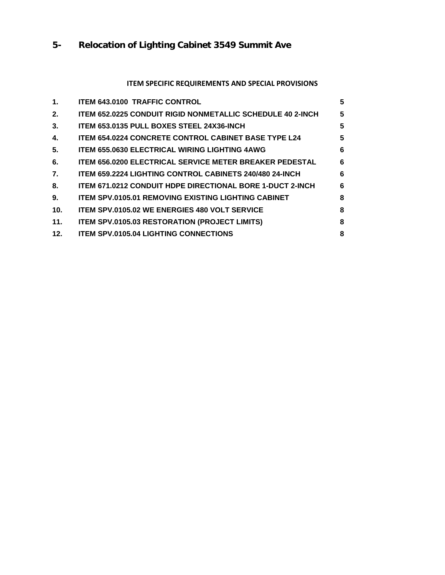# <span id="page-6-0"></span>**5- Relocation of Lighting Cabinet 3549 Summit Ave**

# **ITEM SPECIFIC REQUIREMENTS AND SPECIAL PROVISIONS**

| $\mathbf 1$ . | <b>ITEM 643.0100 TRAFFIC CONTROL</b>                             | 5 |
|---------------|------------------------------------------------------------------|---|
| 2.            | ITEM 652.0225 CONDUIT RIGID NONMETALLIC SCHEDULE 40 2-INCH       | 5 |
| 3.            | ITEM 653.0135 PULL BOXES STEEL 24X36-INCH                        | 5 |
| 4.            | <b>ITEM 654.0224 CONCRETE CONTROL CABINET BASE TYPE L24</b>      | 5 |
| 5.            | <b>ITEM 655.0630 ELECTRICAL WIRING LIGHTING 4AWG</b>             | 6 |
| 6.            | <b>ITEM 656.0200 ELECTRICAL SERVICE METER BREAKER PEDESTAL</b>   | 6 |
| 7.            | <b>ITEM 659.2224 LIGHTING CONTROL CABINETS 240/480 24-INCH</b>   | 6 |
| 8.            | <b>ITEM 671.0212 CONDUIT HDPE DIRECTIONAL BORE 1-DUCT 2-INCH</b> | 6 |
| 9.            | <b>ITEM SPV.0105.01 REMOVING EXISTING LIGHTING CABINET</b>       | 8 |
| 10.           | <b>ITEM SPV.0105.02 WE ENERGIES 480 VOLT SERVICE</b>             | 8 |
| 11.           | <b>ITEM SPV.0105.03 RESTORATION (PROJECT LIMITS)</b>             | 8 |
| 12.           | <b>ITEM SPV.0105.04 LIGHTING CONNECTIONS</b>                     | 8 |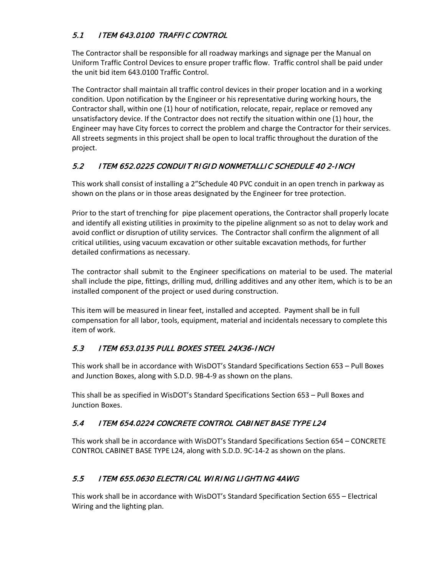# <span id="page-7-0"></span>5.1 ITEM 643.0100 TRAFFIC CONTROL

The Contractor shall be responsible for all roadway markings and signage per the Manual on Uniform Traffic Control Devices to ensure proper traffic flow. Traffic control shall be paid under the unit bid item 643.0100 Traffic Control.

The Contractor shall maintain all traffic control devices in their proper location and in a working condition. Upon notification by the Engineer or his representative during working hours, the Contractor shall, within one (1) hour of notification, relocate, repair, replace or removed any unsatisfactory device. If the Contractor does not rectify the situation within one (1) hour, the Engineer may have City forces to correct the problem and charge the Contractor for their services. All streets segments in this project shall be open to local traffic throughout the duration of the project.

## <span id="page-7-1"></span>5.2 ITEM 652.0225 CONDUIT RIGID NONMETALLIC SCHEDULE 40 2-INCH

This work shall consist of installing a 2"Schedule 40 PVC conduit in an open trench in parkway as shown on the plans or in those areas designated by the Engineer for tree protection.

Prior to the start of trenching for pipe placement operations, the Contractor shall properly locate and identify all existing utilities in proximity to the pipeline alignment so as not to delay work and avoid conflict or disruption of utility services. The Contractor shall confirm the alignment of all critical utilities, using vacuum excavation or other suitable excavation methods, for further detailed confirmations as necessary.

The contractor shall submit to the Engineer specifications on material to be used. The material shall include the pipe, fittings, drilling mud, drilling additives and any other item, which is to be an installed component of the project or used during construction.

This item will be measured in linear feet, installed and accepted. Payment shall be in full compensation for all labor, tools, equipment, material and incidentals necessary to complete this item of work.

### <span id="page-7-2"></span>5.3 ITEM 653.0135 PULL BOXES STEEL 24X36-INCH

This work shall be in accordance with WisDOT's Standard Specifications Section 653 – Pull Boxes and Junction Boxes, along with S.D.D. 9B-4-9 as shown on the plans.

This shall be as specified in WisDOT's Standard Specifications Section 653 – Pull Boxes and Junction Boxes.

# <span id="page-7-3"></span>5.4 ITEM 654.0224 CONCRETE CONTROL CABINET BASE TYPE L24

This work shall be in accordance with WisDOT's Standard Specifications Section 654 – CONCRETE CONTROL CABINET BASE TYPE L24, along with S.D.D. 9C-14-2 as shown on the plans.

# <span id="page-7-4"></span>5.5 ITEM 655.0630 ELECTRICAL WIRING LIGHTING 4AWG

This work shall be in accordance with WisDOT's Standard Specification Section 655 – Electrical Wiring and the lighting plan.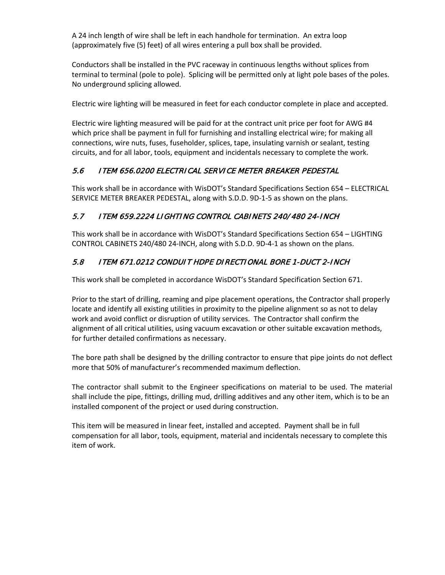A 24 inch length of wire shall be left in each handhole for termination. An extra loop (approximately five (5) feet) of all wires entering a pull box shall be provided.

Conductors shall be installed in the PVC raceway in continuous lengths without splices from terminal to terminal (pole to pole). Splicing will be permitted only at light pole bases of the poles. No underground splicing allowed.

Electric wire lighting will be measured in feet for each conductor complete in place and accepted.

Electric wire lighting measured will be paid for at the contract unit price per foot for AWG #4 which price shall be payment in full for furnishing and installing electrical wire; for making all connections, wire nuts, fuses, fuseholder, splices, tape, insulating varnish or sealant, testing circuits, and for all labor, tools, equipment and incidentals necessary to complete the work.

# <span id="page-8-0"></span>5.6 ITEM 656.0200 ELECTRICAL SERVICE METER BREAKER PEDESTAL

This work shall be in accordance with WisDOT's Standard Specifications Section 654 – ELECTRICAL SERVICE METER BREAKER PEDESTAL, along with S.D.D. 9D-1-5 as shown on the plans.

## <span id="page-8-1"></span>5.7 ITEM 659.2224 LIGHTING CONTROL CABINETS 240/ 480 24-INCH

This work shall be in accordance with WisDOT's Standard Specifications Section 654 – LIGHTING CONTROL CABINETS 240/480 24-INCH, along with S.D.D. 9D-4-1 as shown on the plans.

# <span id="page-8-2"></span>5.8 ITEM 671.0212 CONDUIT HDPE DIRECTIONAL BORE 1-DUCT 2-INCH

This work shall be completed in accordance WisDOT's Standard Specification Section 671.

Prior to the start of drilling, reaming and pipe placement operations, the Contractor shall properly locate and identify all existing utilities in proximity to the pipeline alignment so as not to delay work and avoid conflict or disruption of utility services. The Contractor shall confirm the alignment of all critical utilities, using vacuum excavation or other suitable excavation methods, for further detailed confirmations as necessary.

The bore path shall be designed by the drilling contractor to ensure that pipe joints do not deflect more that 50% of manufacturer's recommended maximum deflection.

The contractor shall submit to the Engineer specifications on material to be used. The material shall include the pipe, fittings, drilling mud, drilling additives and any other item, which is to be an installed component of the project or used during construction.

<span id="page-8-3"></span>This item will be measured in linear feet, installed and accepted. Payment shall be in full compensation for all labor, tools, equipment, material and incidentals necessary to complete this item of work.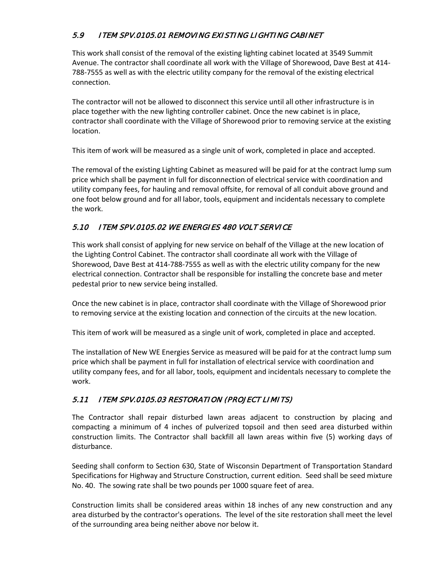# <span id="page-9-0"></span>5.9 ITEM SPV.0105.01 REMOVING EXISTING LIGHTING CABINET

This work shall consist of the removal of the existing lighting cabinet located at 3549 Summit Avenue. The contractor shall coordinate all work with the Village of Shorewood, Dave Best at 414- 788-7555 as well as with the electric utility company for the removal of the existing electrical connection.

The contractor will not be allowed to disconnect this service until all other infrastructure is in place together with the new lighting controller cabinet. Once the new cabinet is in place, contractor shall coordinate with the Village of Shorewood prior to removing service at the existing location.

This item of work will be measured as a single unit of work, completed in place and accepted.

The removal of the existing Lighting Cabinet as measured will be paid for at the contract lump sum price which shall be payment in full for disconnection of electrical service with coordination and utility company fees, for hauling and removal offsite, for removal of all conduit above ground and one foot below ground and for all labor, tools, equipment and incidentals necessary to complete the work.

#### <span id="page-9-1"></span>5.10 ITEM SPV.0105.02 WE ENERGIES 480 VOLT SERVICE

This work shall consist of applying for new service on behalf of the Village at the new location of the Lighting Control Cabinet. The contractor shall coordinate all work with the Village of Shorewood, Dave Best at 414-788-7555 as well as with the electric utility company for the new electrical connection. Contractor shall be responsible for installing the concrete base and meter pedestal prior to new service being installed.

Once the new cabinet is in place, contractor shall coordinate with the Village of Shorewood prior to removing service at the existing location and connection of the circuits at the new location.

This item of work will be measured as a single unit of work, completed in place and accepted.

The installation of New WE Energies Service as measured will be paid for at the contract lump sum price which shall be payment in full for installation of electrical service with coordination and utility company fees, and for all labor, tools, equipment and incidentals necessary to complete the work.

### <span id="page-9-2"></span>5.11 ITEM SPV.0105.03 RESTORATION (PROJECT LIMITS)

The Contractor shall repair disturbed lawn areas adjacent to construction by placing and compacting a minimum of 4 inches of pulverized topsoil and then seed area disturbed within construction limits. The Contractor shall backfill all lawn areas within five (5) working days of disturbance.

Seeding shall conform to Section 630, State of Wisconsin Department of Transportation Standard Specifications for Highway and Structure Construction, current edition. Seed shall be seed mixture No. 40. The sowing rate shall be two pounds per 1000 square feet of area.

Construction limits shall be considered areas within 18 inches of any new construction and any area disturbed by the contractor's operations. The level of the site restoration shall meet the level of the surrounding area being neither above nor below it.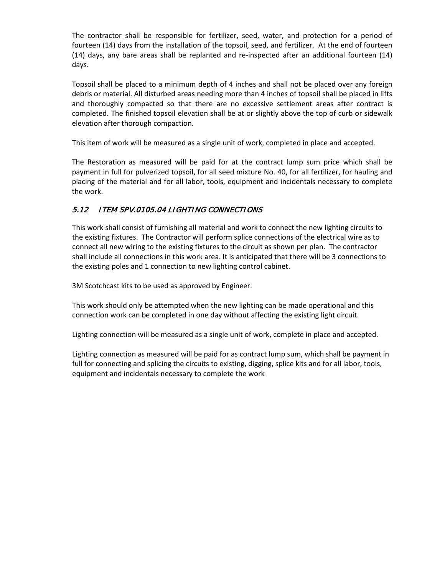The contractor shall be responsible for fertilizer, seed, water, and protection for a period of fourteen (14) days from the installation of the topsoil, seed, and fertilizer. At the end of fourteen (14) days, any bare areas shall be replanted and re-inspected after an additional fourteen (14) days.

Topsoil shall be placed to a minimum depth of 4 inches and shall not be placed over any foreign debris or material. All disturbed areas needing more than 4 inches of topsoil shall be placed in lifts and thoroughly compacted so that there are no excessive settlement areas after contract is completed. The finished topsoil elevation shall be at or slightly above the top of curb or sidewalk elevation after thorough compaction.

This item of work will be measured as a single unit of work, completed in place and accepted.

The Restoration as measured will be paid for at the contract lump sum price which shall be payment in full for pulverized topsoil, for all seed mixture No. 40, for all fertilizer, for hauling and placing of the material and for all labor, tools, equipment and incidentals necessary to complete the work.

### <span id="page-10-0"></span>5.12 ITEM SPV.0105.04 LIGHTING CONNECTIONS

This work shall consist of furnishing all material and work to connect the new lighting circuits to the existing fixtures. The Contractor will perform splice connections of the electrical wire as to connect all new wiring to the existing fixtures to the circuit as shown per plan. The contractor shall include all connections in this work area. It is anticipated that there will be 3 connections to the existing poles and 1 connection to new lighting control cabinet.

3M Scotchcast kits to be used as approved by Engineer.

This work should only be attempted when the new lighting can be made operational and this connection work can be completed in one day without affecting the existing light circuit.

Lighting connection will be measured as a single unit of work, complete in place and accepted.

Lighting connection as measured will be paid for as contract lump sum, which shall be payment in full for connecting and splicing the circuits to existing, digging, splice kits and for all labor, tools, equipment and incidentals necessary to complete the work